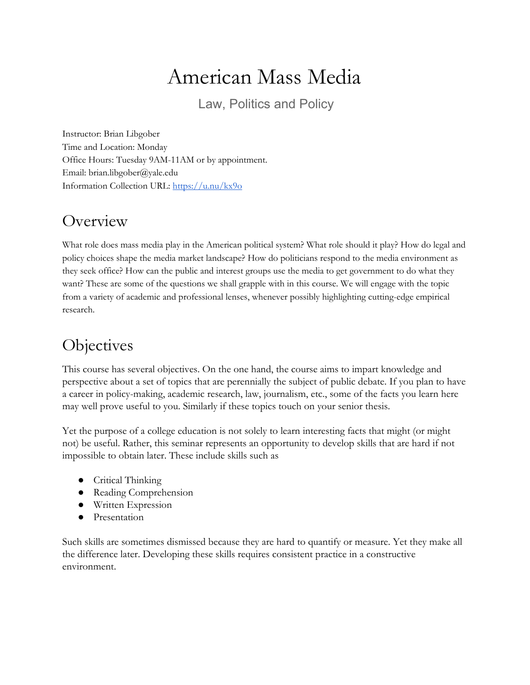# American Mass Media

Law, Politics and Policy

Instructor: Brian Libgober Time and Location: Monday Office Hours: Tuesday 9AM-11AM or by appointment. Email: brian.libgober@yale.edu Information Collection URL: <https://u.nu/kx9o>

## **Overview**

What role does mass media play in the American political system? What role should it play? How do legal and policy choices shape the media market landscape? How do politicians respond to the media environment as they seek office? How can the public and interest groups use the media to get government to do what they want? These are some of the questions we shall grapple with in this course. We will engage with the topic from a variety of academic and professional lenses, whenever possibly highlighting cutting-edge empirical research.

# **Objectives**

This course has several objectives. On the one hand, the course aims to impart knowledge and perspective about a set of topics that are perennially the subject of public debate. If you plan to have a career in policy-making, academic research, law, journalism, etc., some of the facts you learn here may well prove useful to you. Similarly if these topics touch on your senior thesis.

Yet the purpose of a college education is not solely to learn interesting facts that might (or might not) be useful. Rather, this seminar represents an opportunity to develop skills that are hard if not impossible to obtain later. These include skills such as

- Critical Thinking
- Reading Comprehension
- Written Expression
- Presentation

Such skills are sometimes dismissed because they are hard to quantify or measure. Yet they make all the difference later. Developing these skills requires consistent practice in a constructive environment.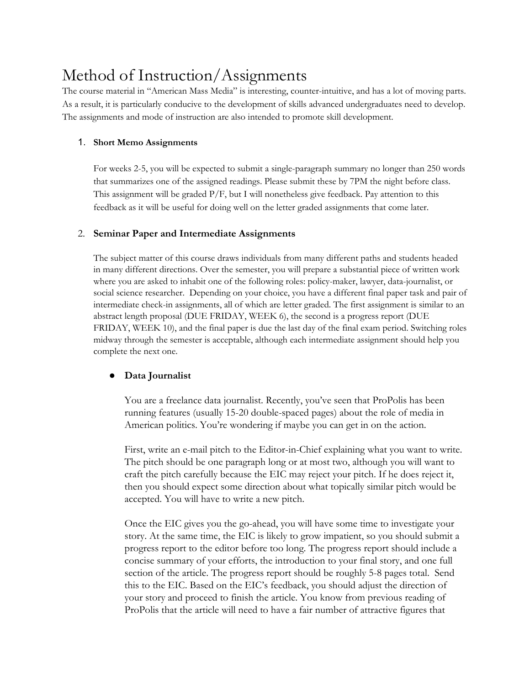# Method of Instruction/Assignments

The course material in "American Mass Media" is interesting, counter-intuitive, and has a lot of moving parts. As a result, it is particularly conducive to the development of skills advanced undergraduates need to develop. The assignments and mode of instruction are also intended to promote skill development.

#### 1. **Short Memo Assignments**

For weeks 2-5, you will be expected to submit a single-paragraph summary no longer than 250 words that summarizes one of the assigned readings. Please submit these by 7PM the night before class. This assignment will be graded  $P/F$ , but I will nonetheless give feedback. Pay attention to this feedback as it will be useful for doing well on the letter graded assignments that come later.

#### 2. **Seminar Paper and Intermediate Assignments**

The subject matter of this course draws individuals from many different paths and students headed in many different directions. Over the semester, you will prepare a substantial piece of written work where you are asked to inhabit one of the following roles: policy-maker, lawyer, data-journalist, or social science researcher. Depending on your choice, you have a different final paper task and pair of intermediate check-in assignments, all of which are letter graded. The first assignment is similar to an abstract length proposal (DUE FRIDAY, WEEK 6), the second is a progress report (DUE FRIDAY, WEEK 10), and the final paper is due the last day of the final exam period. Switching roles midway through the semester is acceptable, although each intermediate assignment should help you complete the next one.

#### **● Data Journalist**

You are a freelance data journalist. Recently, you've seen that ProPolis has been running features (usually 15-20 double-spaced pages) about the role of media in American politics. You're wondering if maybe you can get in on the action.

First, write an e-mail pitch to the Editor-in-Chief explaining what you want to write. The pitch should be one paragraph long or at most two, although you will want to craft the pitch carefully because the EIC may reject your pitch. If he does reject it, then you should expect some direction about what topically similar pitch would be accepted. You will have to write a new pitch.

Once the EIC gives you the go-ahead, you will have some time to investigate your story. At the same time, the EIC is likely to grow impatient, so you should submit a progress report to the editor before too long. The progress report should include a concise summary of your efforts, the introduction to your final story, and one full section of the article. The progress report should be roughly 5-8 pages total. Send this to the EIC. Based on the EIC's feedback, you should adjust the direction of your story and proceed to finish the article. You know from previous reading of ProPolis that the article will need to have a fair number of attractive figures that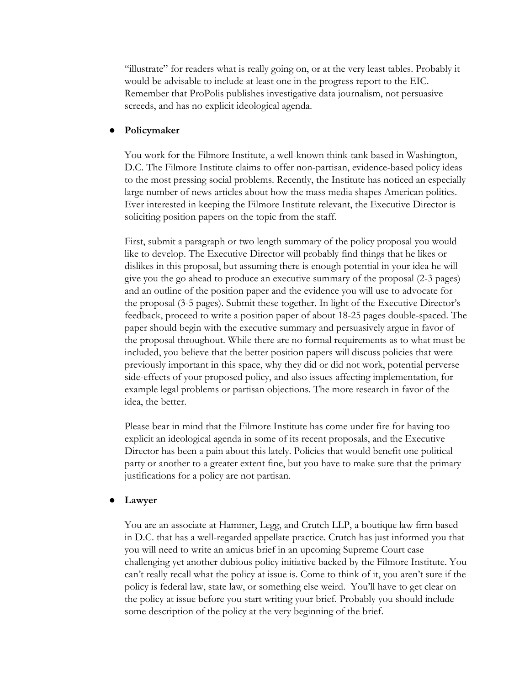"illustrate" for readers what is really going on, or at the very least tables. Probably it would be advisable to include at least one in the progress report to the EIC. Remember that ProPolis publishes investigative data journalism, not persuasive screeds, and has no explicit ideological agenda.

#### ● **Policymaker**

You work for the Filmore Institute, a well-known think-tank based in Washington, D.C. The Filmore Institute claims to offer non-partisan, evidence-based policy ideas to the most pressing social problems. Recently, the Institute has noticed an especially large number of news articles about how the mass media shapes American politics. Ever interested in keeping the Filmore Institute relevant, the Executive Director is soliciting position papers on the topic from the staff.

First, submit a paragraph or two length summary of the policy proposal you would like to develop. The Executive Director will probably find things that he likes or dislikes in this proposal, but assuming there is enough potential in your idea he will give you the go ahead to produce an executive summary of the proposal (2-3 pages) and an outline of the position paper and the evidence you will use to advocate for the proposal (3-5 pages). Submit these together. In light of the Executive Director's feedback, proceed to write a position paper of about 18-25 pages double-spaced. The paper should begin with the executive summary and persuasively argue in favor of the proposal throughout. While there are no formal requirements as to what must be included, you believe that the better position papers will discuss policies that were previously important in this space, why they did or did not work, potential perverse side-effects of your proposed policy, and also issues affecting implementation, for example legal problems or partisan objections. The more research in favor of the idea, the better.

Please bear in mind that the Filmore Institute has come under fire for having too explicit an ideological agenda in some of its recent proposals, and the Executive Director has been a pain about this lately. Policies that would benefit one political party or another to a greater extent fine, but you have to make sure that the primary justifications for a policy are not partisan.

#### **● Lawyer**

You are an associate at Hammer, Legg, and Crutch LLP, a boutique law firm based in D.C. that has a well-regarded appellate practice. Crutch has just informed you that you will need to write an amicus brief in an upcoming Supreme Court case challenging yet another dubious policy initiative backed by the Filmore Institute. You can't really recall what the policy at issue is. Come to think of it, you aren't sure if the policy is federal law, state law, or something else weird. You'll have to get clear on the policy at issue before you start writing your brief. Probably you should include some description of the policy at the very beginning of the brief.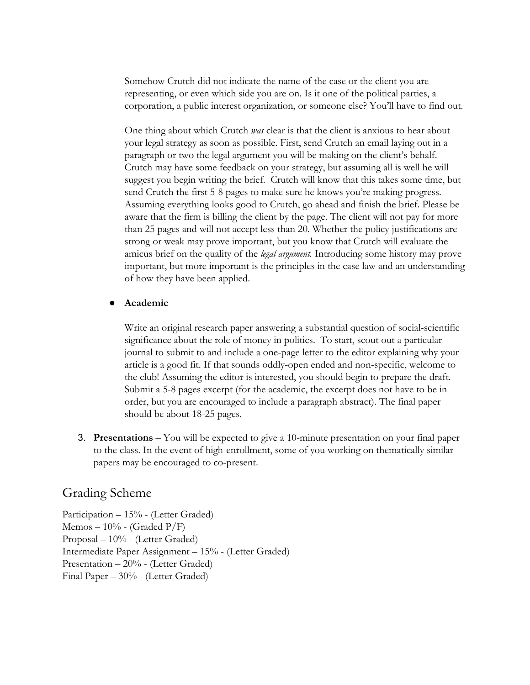Somehow Crutch did not indicate the name of the case or the client you are representing, or even which side you are on. Is it one of the political parties, a corporation, a public interest organization, or someone else? You'll have to find out.

One thing about which Crutch *was* clear is that the client is anxious to hear about your legal strategy as soon as possible. First, send Crutch an email laying out in a paragraph or two the legal argument you will be making on the client's behalf. Crutch may have some feedback on your strategy, but assuming all is well he will suggest you begin writing the brief. Crutch will know that this takes some time, but send Crutch the first 5-8 pages to make sure he knows you're making progress. Assuming everything looks good to Crutch, go ahead and finish the brief. Please be aware that the firm is billing the client by the page. The client will not pay for more than 25 pages and will not accept less than 20. Whether the policy justifications are strong or weak may prove important, but you know that Crutch will evaluate the amicus brief on the quality of the *legal argument.* Introducing some history may prove important, but more important is the principles in the case law and an understanding of how they have been applied.

#### ● **Academic**

Write an original research paper answering a substantial question of social-scientific significance about the role of money in politics. To start, scout out a particular journal to submit to and include a one-page letter to the editor explaining why your article is a good fit. If that sounds oddly-open ended and non-specific, welcome to the club! Assuming the editor is interested, you should begin to prepare the draft. Submit a 5-8 pages excerpt (for the academic, the excerpt does not have to be in order, but you are encouraged to include a paragraph abstract). The final paper should be about 18-25 pages.

3. **Presentations** – You will be expected to give a 10-minute presentation on your final paper to the class. In the event of high-enrollment, some of you working on thematically similar papers may be encouraged to co-present.

#### Grading Scheme

Participation – 15% - (Letter Graded) Memos – 10% - (Graded P/F) Proposal – 10% - (Letter Graded) Intermediate Paper Assignment – 15% - (Letter Graded) Presentation – 20% - (Letter Graded) Final Paper – 30% - (Letter Graded)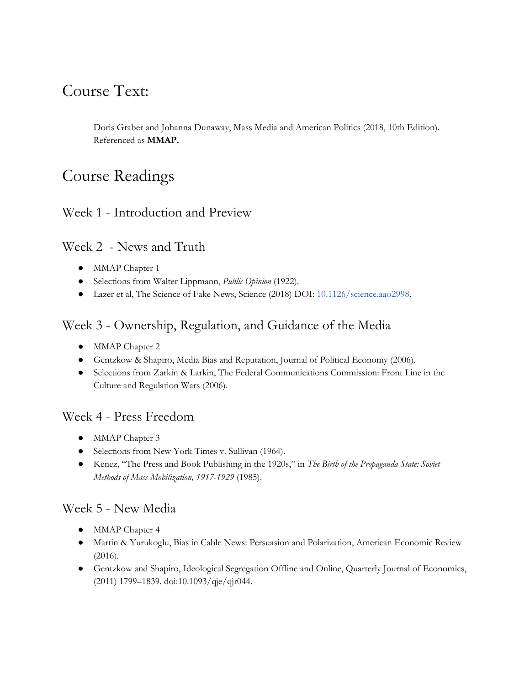# Course Text:

Doris Graber and Johanna Dunaway, Mass Media and American Politics (2018, 10th Edition). Referenced as **MMAP.**

# Course Readings

### Week 1 - Introduction and Preview

### Week 2 - News and Truth

- MMAP Chapter 1
- Selections from Walter Lippmann, *Public Opinion* (1922).
- Lazer et al, The Science of Fake News, Science (2018) DOI: [10.1126/science.aao2998.](https://hollis.harvard.edu/openurl/01HVD/HVD_URL??url_ver=Z39.88-2004&rft_val_fmt=info:ofi/fmt:kev:mtx:journal&__char_set=utf8&rft_id=info:doi/10.1126/science.aao2998&rfr_id=info:sid/libx%3Ahul.harvard&rft.genre=article)

### Week 3 - Ownership, Regulation, and Guidance of the Media

- MMAP Chapter 2
- Gentzkow & Shapiro, Media Bias and Reputation, Journal of Political Economy (2006).
- Selections from Zarkin & Larkin, The Federal Communications Commission: Front Line in the Culture and Regulation Wars (2006).

#### Week 4 - Press Freedom

- MMAP Chapter 3
- Selections from New York Times v. Sullivan (1964).
- Kenez, "The Press and Book Publishing in the 1920s," in *The Birth of the Propaganda State: Soviet Methods of Mass Mobilization, 1917-1929* (1985).

#### Week 5 - New Media

- MMAP Chapter 4
- Martin & Yurukoglu, Bias in Cable News: Persuasion and Polarization, American Economic Review (2016).
- Gentzkow and Shapiro, Ideological Segregation Offline and Online, Quarterly Journal of Economics, (2011) 1799–1839. doi:10.1093/qje/qjr044.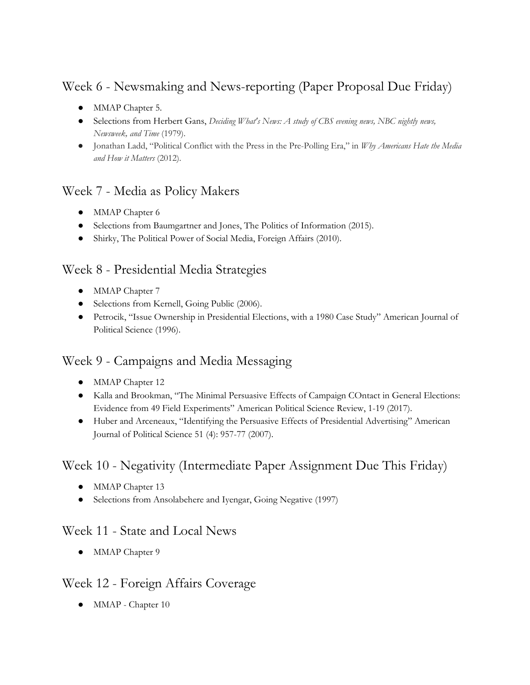## Week 6 - Newsmaking and News-reporting (Paper Proposal Due Friday)

- MMAP Chapter 5.
- Selections from Herbert Gans, *Deciding What's News: A study of CBS evening news, NBC nightly news, Newsweek, and Time* (1979).
- Jonathan Ladd, "Political Conflict with the Press in the Pre-Polling Era," in *Why Americans Hate the Media and How it Matters* (2012).

### Week 7 - Media as Policy Makers

- MMAP Chapter 6
- Selections from Baumgartner and Jones, The Politics of Information (2015).
- Shirky, The Political Power of Social Media, Foreign Affairs (2010).

### Week 8 - Presidential Media Strategies

- MMAP Chapter 7
- Selections from Kernell, Going Public (2006).
- Petrocik, "Issue Ownership in Presidential Elections, with a 1980 Case Study" American Journal of Political Science (1996).

## Week 9 - Campaigns and Media Messaging

- MMAP Chapter 12
- Kalla and Brookman, "The Minimal Persuasive Effects of Campaign COntact in General Elections: Evidence from 49 Field Experiments" American Political Science Review, 1-19 (2017).
- Huber and Arceneaux, "Identifying the Persuasive Effects of Presidential Advertising" American Journal of Political Science 51 (4): 957-77 (2007).

## Week 10 - Negativity (Intermediate Paper Assignment Due This Friday)

- MMAP Chapter 13
- Selections from Ansolabehere and Iyengar, Going Negative (1997)

### Week 11 - State and Local News

• MMAP Chapter 9

### Week 12 - Foreign Affairs Coverage

• MMAP - Chapter 10